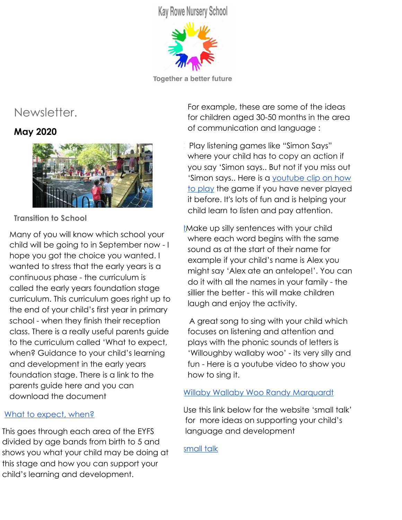**Kay Rowe Nursery School** 



**Together a better future** 

# Newsletter.

## **May 2020**



**Transition to School**

Many of you will know which school your child will be going to in September now - I hope you got the choice you wanted. I wanted to stress that the early years is a continuous phase - the curriculum is called the early years foundation stage curriculum. This curriculum goes right up to the end of your child's first year in primary school - when they finish their reception class. There is a really useful parents guide to the curriculum called 'What to expect, when? Guidance to your child's learning and development in the early years foundation stage. There is a link to the parents guide here and you can download the document

## [What to expect, when?](https://www.foundationyears.org.uk/files/2015/03/4Children_ParentsGuide_2015_WEB.pdf)

This goes through each area of the EYFS divided by age bands from birth to 5 and shows you what your child may be doing at this stage and how you can support your child's learning and development.

For example, these are some of the ideas for children aged 30-50 months in the area of communication and language :

- Play listening games like "Simon Says" where your child has to copy an action if you say 'Simon says.. But not if you miss out 'Simon says.. Here is a [youtube clip on how](https://www.youtube.com/watch?v=90GBmRLMtfM) [to play](https://www.youtube.com/watch?v=90GBmRLMtfM) the game if you have never played it before. It's lots of fun and is helping your child learn to listen and pay attention.
- [tM](https://www.youtube.com/watch?v=90GBmRLMtfM)ake up silly sentences with your child where each word begins with the same sound as at the start of their name for example if your child's name is Alex you might say 'Alex ate an antelope!'. You can do it with all the names in your family - the sillier the better - this will make children laugh and enjoy the activity.

 A great song to sing with your child which focuses on listening and attention and plays with the phonic sounds of letters is 'Willoughby wallaby woo' - its very silly and fun - Here is a youtube video to show you how to sing it.

## [Willaby Wallaby Woo Randy Marquardt](https://www.youtube.com/watch?v=H5MPTXPKNIw)

Use this link below for the website 'small talk' for more ideas on supporting your child's language and development

[small talk](https://small-talk.org.uk/3-5-years/)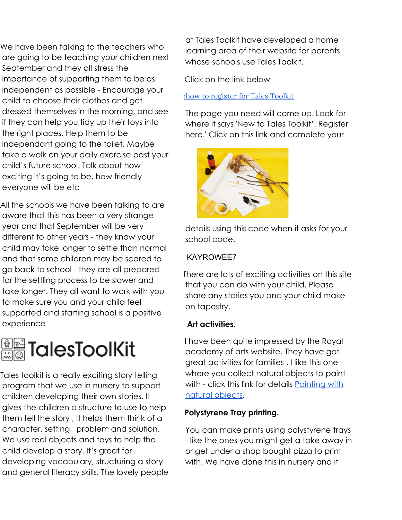We have been talking to the teachers who are going to be teaching your children next September and they all stress the importance of supporting them to be as independent as possible - Encourage your child to choose their clothes and get dressed themselves in the morning, and see if they can help you tidy up their toys into the right places. Help them to be independant going to the toilet. Maybe take a walk on your daily exercise past your child's future school. Talk about how exciting it's going to be, how friendly everyone will be etc

All the schools we have been talking to are aware that this has been a very strange year and that September will be very different to other years - they know your child may take longer to settle than normal and that some children may be scared to go back to school - they are all prepared for the settling process to be slower and take longer. They all want to work with you to make sure you and your child feel supported and starting school is a positive experience



Tales toolkit is a really exciting story telling program that we use in nursery to support children developing their own stories. It gives the children a structure to use to help them tell the story , It helps them think of a character, setting, problem and solution. We use real objects and toys to help the child develop a story. It's great for developing vocabulary, structuring a story and general literacy skills. The lovely people

at Tales Toolkit have developed a home learning area of their website for parents whose schools use Tales Toolkit.

Click on the link below

how to [register](https://parents.talestoolkit.com/home-learning-login/) for Tales Toolkit

The page you need will come up. Look for where it says 'New to Tales Toolkit'. Register here.' Click on this link and complete your



details using this code when it asks for your school code.

#### KAYROWEE7

There are lots of exciting activities on this site that you can do with your child. Please share any stories you and your child make on tapestry.

#### **Art activities.**

I have been quite impressed by the Royal academy of arts website. They have got great activities for families . I like this one where you collect natural objects to paint with - click this link for details [Painting with](https://www.royalacademy.org.uk/article/family-how-to-make-your-own-paintbrush-send-access) [natural objects.](https://www.royalacademy.org.uk/article/family-how-to-make-your-own-paintbrush-send-access)

#### **Polystyrene Tray printing.**

You can make prints using polystyrene trays - like the ones you might get a take away in or get under a shop bought pizza to print with. We have done this in nursery and it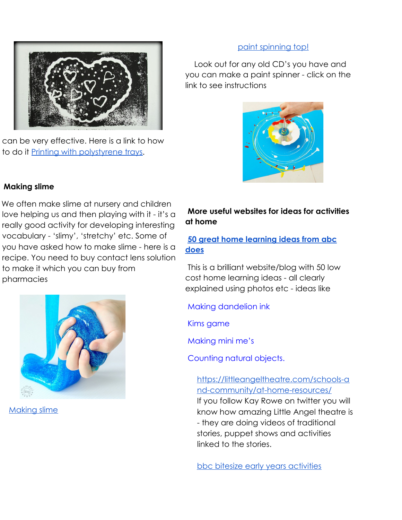

can be very effective. Here is a link to how to do it [Printing with polystyrene trays.](https://www.royalacademy.org.uk/article/family-how-to-relief-printing)

#### [paint spinning top!](https://www.royalacademy.org.uk/article/family-how-to-paint-splattering-spinning-top)

 Look out for any old CD's you have and you can make a paint spinner - click on the link to see instructions



#### **Making slime**

We often make slime at nursery and children love helping us and then playing with it - it's a really good activity for developing interesting vocabulary - 'slimy', 'stretchy' etc. Some of you have asked how to make slime - here is a recipe. You need to buy contact lens solution to make it which you can buy from pharmacies



[Making slime](https://www.royalacademy.org.uk/article/family-how-to-exploring-colour-with-slime)

#### **More useful websites for ideas for activities at home**

#### **[50 great home learning ideas from abc](https://abcdoes.com/home-learning/) [does](https://abcdoes.com/home-learning/)**

This is a brilliant website/blog with 50 low cost home learning ideas - all clearly explained using photos etc - ideas like

Making dandelion ink

Kims game

Making mini me's

Counting natural objects.

#### [https://littleangeltheatre.com/schools-a](https://littleangeltheatre.com/schools-and-community/at-home-resources/) [nd-community/at-home-resources/](https://littleangeltheatre.com/schools-and-community/at-home-resources/)

If you follow Kay Rowe on twitter you will know how amazing Little Angel theatre is - they are doing videos of traditional stories, puppet shows and activities linked to the stories.

[bbc bitesize early years activities](https://www.bbc.co.uk/bitesize/articles/zks4kmn)